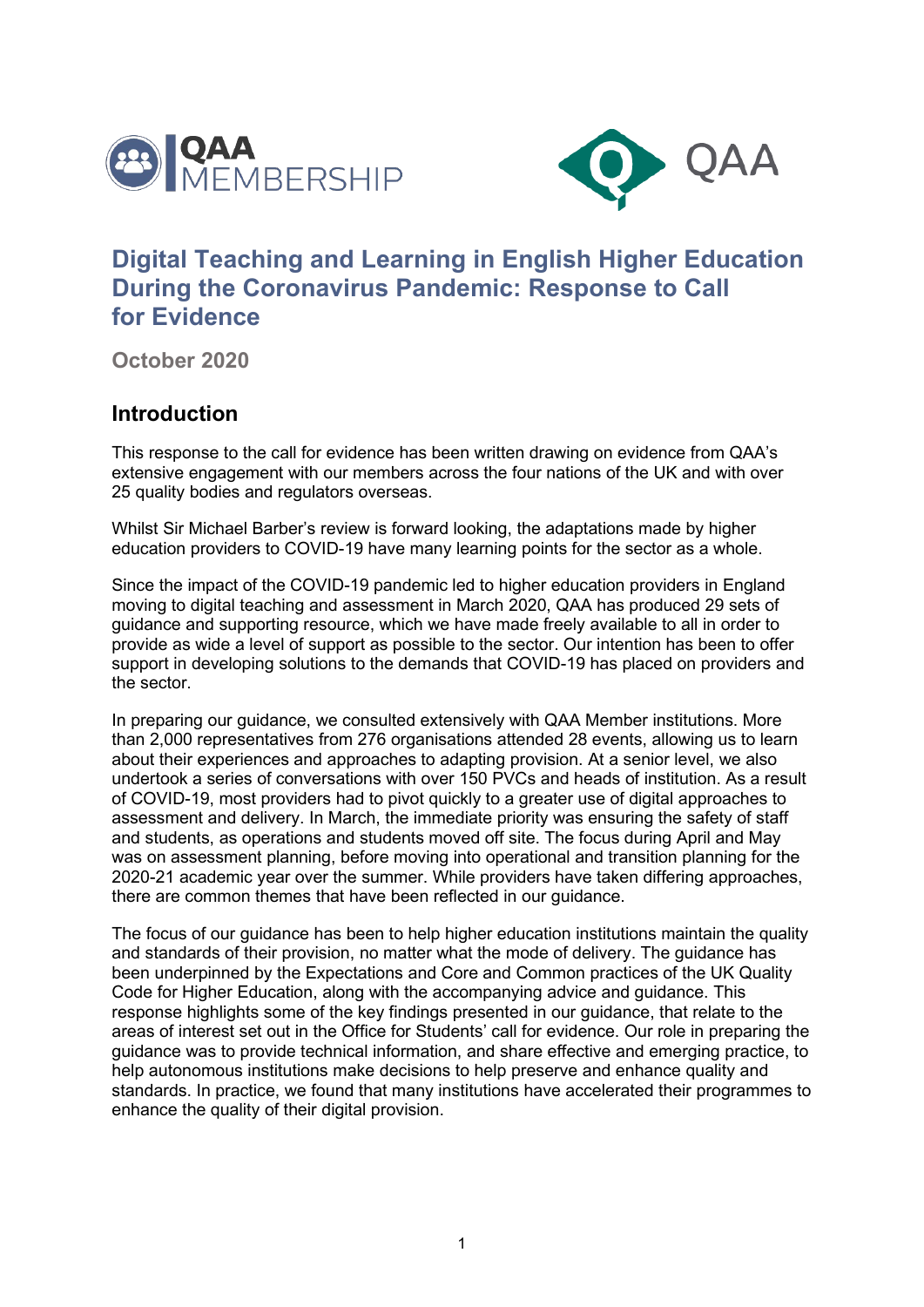



# **Digital Teaching and Learning in English Higher Education During the Coronavirus Pandemic: Response to Call for Evidence**

**October 2020**

#### **Introduction**

This response to the call for evidence has been written drawing on evidence from QAA's extensive engagement with our members across the four nations of the UK and with over 25 quality bodies and regulators overseas.

Whilst Sir Michael Barber's review is forward looking, the adaptations made by higher education providers to COVID-19 have many learning points for the sector as a whole.

Since the impact of the COVID-19 pandemic led to higher education providers in England moving to digital teaching and assessment in March 2020, QAA has produced 29 sets of guidance and supporting resource, which we have made freely available to all in order to provide as wide a level of support as possible to the sector. Our intention has been to offer support in developing solutions to the demands that COVID-19 has placed on providers and the sector.

In preparing our guidance, we consulted extensively with QAA Member institutions. More than 2,000 representatives from 276 organisations attended 28 events, allowing us to learn about their experiences and approaches to adapting provision. At a senior level, we also undertook a series of conversations with over 150 PVCs and heads of institution. As a result of COVID-19, most providers had to pivot quickly to a greater use of digital approaches to assessment and delivery. In March, the immediate priority was ensuring the safety of staff and students, as operations and students moved off site. The focus during April and May was on assessment planning, before moving into operational and transition planning for the 2020-21 academic year over the summer. While providers have taken differing approaches, there are common themes that have been reflected in our guidance.

The focus of our guidance has been to help higher education institutions maintain the quality and standards of their provision, no matter what the mode of delivery. The guidance has been underpinned by the Expectations and Core and Common practices of the UK Quality Code for Higher Education, along with the accompanying advice and guidance. This response highlights some of the key findings presented in our guidance, that relate to the areas of interest set out in the Office for Students' call for evidence. Our role in preparing the guidance was to provide technical information, and share effective and emerging practice, to help autonomous institutions make decisions to help preserve and enhance quality and standards. In practice, we found that many institutions have accelerated their programmes to enhance the quality of their digital provision.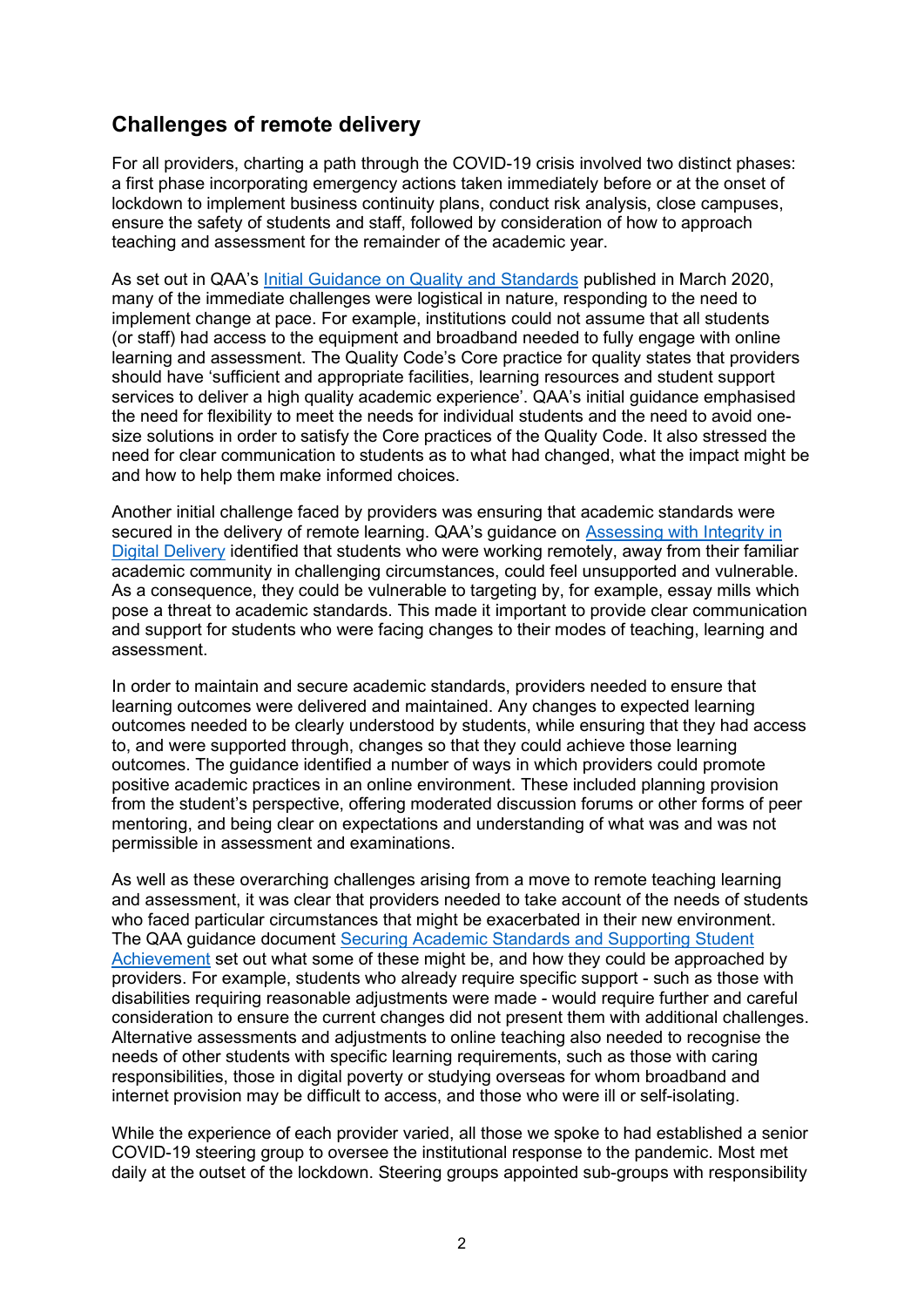## **Challenges of remote delivery**

For all providers, charting a path through the COVID-19 crisis involved two distinct phases: a first phase incorporating emergency actions taken immediately before or at the onset of lockdown to implement business continuity plans, conduct risk analysis, close campuses, ensure the safety of students and staff, followed by consideration of how to approach teaching and assessment for the remainder of the academic year.

As set out in QAA's [Initial Guidance on Quality and Standards](https://www.qaa.ac.uk/docs/qaa/guidance/covid-19-initial-guidance-for-providers.pdf) published in March 2020, many of the immediate challenges were logistical in nature, responding to the need to implement change at pace. For example, institutions could not assume that all students (or staff) had access to the equipment and broadband needed to fully engage with online learning and assessment. The Quality Code's Core practice for quality states that providers should have 'sufficient and appropriate facilities, learning resources and student support services to deliver a high quality academic experience'. QAA's initial guidance emphasised the need for flexibility to meet the needs for individual students and the need to avoid onesize solutions in order to satisfy the Core practices of the Quality Code. It also stressed the need for clear communication to students as to what had changed, what the impact might be and how to help them make informed choices.

Another initial challenge faced by providers was ensuring that academic standards were secured in the delivery of remote learning. QAA's guidance on [Assessing with Integrity in](https://www.qaa.ac.uk/docs/qaa/guidance/assessing-with-integrity-in-digital-delivery.pdf)  [Digital Delivery](https://www.qaa.ac.uk/docs/qaa/guidance/assessing-with-integrity-in-digital-delivery.pdf) identified that students who were working remotely, away from their familiar academic community in challenging circumstances, could feel unsupported and vulnerable. As a consequence, they could be vulnerable to targeting by, for example, essay mills which pose a threat to academic standards. This made it important to provide clear communication and support for students who were facing changes to their modes of teaching, learning and assessment.

In order to maintain and secure academic standards, providers needed to ensure that learning outcomes were delivered and maintained. Any changes to expected learning outcomes needed to be clearly understood by students, while ensuring that they had access to, and were supported through, changes so that they could achieve those learning outcomes. The guidance identified a number of ways in which providers could promote positive academic practices in an online environment. These included planning provision from the student's perspective, offering moderated discussion forums or other forms of peer mentoring, and being clear on expectations and understanding of what was and was not permissible in assessment and examinations.

As well as these overarching challenges arising from a move to remote teaching learning and assessment, it was clear that providers needed to take account of the needs of students who faced particular circumstances that might be exacerbated in their new environment. The QAA guidance document [Securing Academic Standards and Supporting Student](https://www.qaa.ac.uk/docs/qaa/guidance/covid-19-thematic-guidance-academic-standards.pdf)  [Achievement](https://www.qaa.ac.uk/docs/qaa/guidance/covid-19-thematic-guidance-academic-standards.pdf) set out what some of these might be, and how they could be approached by providers. For example, students who already require specific support - such as those with disabilities requiring reasonable adjustments were made - would require further and careful consideration to ensure the current changes did not present them with additional challenges. Alternative assessments and adjustments to online teaching also needed to recognise the needs of other students with specific learning requirements, such as those with caring responsibilities, those in digital poverty or studying overseas for whom broadband and internet provision may be difficult to access, and those who were ill or self-isolating.

While the experience of each provider varied, all those we spoke to had established a senior COVID-19 steering group to oversee the institutional response to the pandemic. Most met daily at the outset of the lockdown. Steering groups appointed sub-groups with responsibility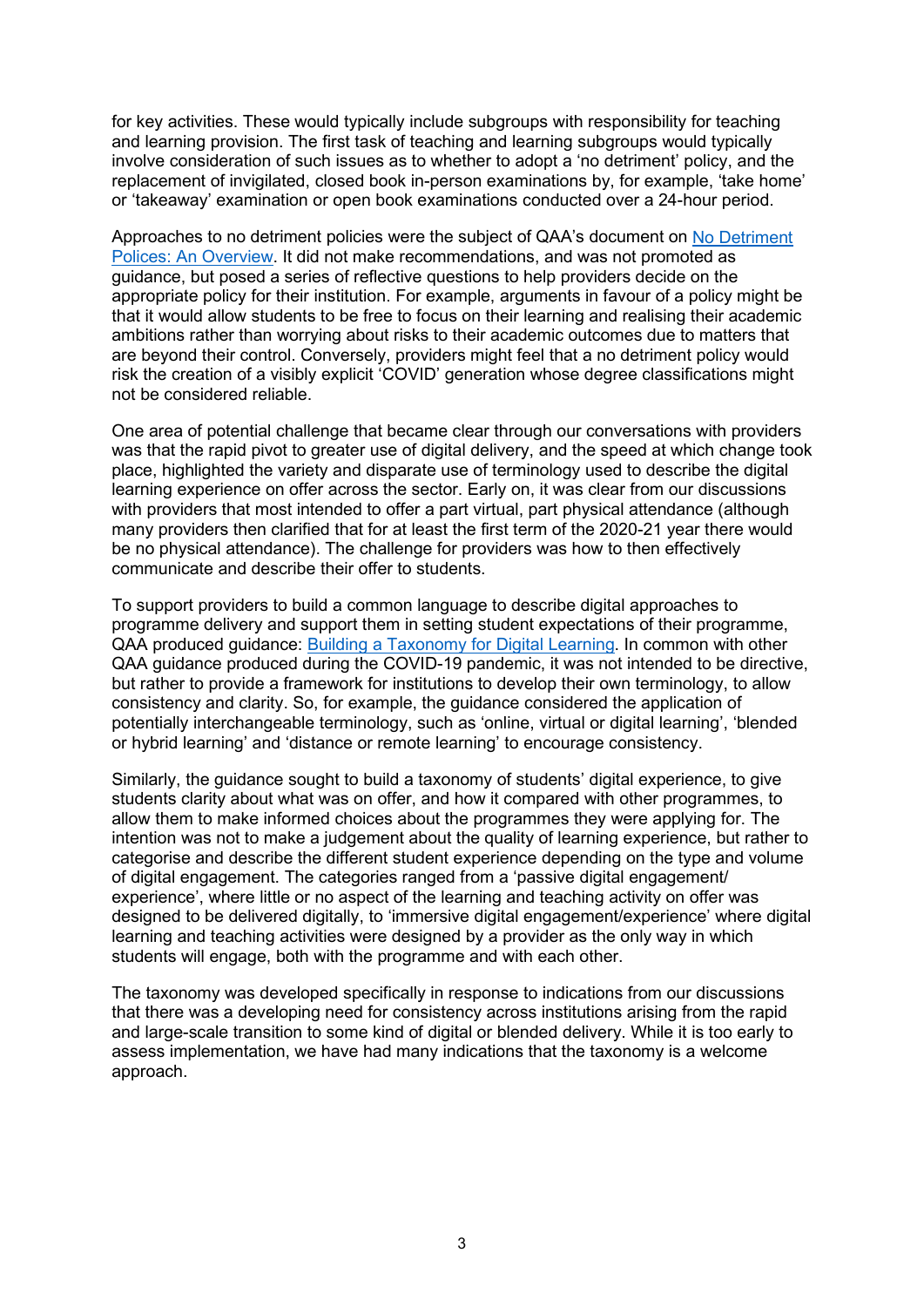for key activities. These would typically include subgroups with responsibility for teaching and learning provision. The first task of teaching and learning subgroups would typically involve consideration of such issues as to whether to adopt a 'no detriment' policy, and the replacement of invigilated, closed book in-person examinations by, for example, 'take home' or 'takeaway' examination or open book examinations conducted over a 24-hour period.

Approaches to no detriment policies were the subject of QAA's document on [No Detriment](https://www.qaa.ac.uk/docs/qaa/guidance/no-detriment-policies-an-overview.pdf)  [Polices: An Overview.](https://www.qaa.ac.uk/docs/qaa/guidance/no-detriment-policies-an-overview.pdf) It did not make recommendations, and was not promoted as guidance, but posed a series of reflective questions to help providers decide on the appropriate policy for their institution. For example, arguments in favour of a policy might be that it would allow students to be free to focus on their learning and realising their academic ambitions rather than worrying about risks to their academic outcomes due to matters that are beyond their control. Conversely, providers might feel that a no detriment policy would risk the creation of a visibly explicit 'COVID' generation whose degree classifications might not be considered reliable.

One area of potential challenge that became clear through our conversations with providers was that the rapid pivot to greater use of digital delivery, and the speed at which change took place, highlighted the variety and disparate use of terminology used to describe the digital learning experience on offer across the sector. Early on, it was clear from our discussions with providers that most intended to offer a part virtual, part physical attendance (although many providers then clarified that for at least the first term of the 2020-21 year there would be no physical attendance). The challenge for providers was how to then effectively communicate and describe their offer to students.

To support providers to build a common language to describe digital approaches to programme delivery and support them in setting student expectations of their programme, QAA produced guidance: [Building a Taxonomy for Digital Learning.](https://www.qaa.ac.uk/docs/qaa/guidance/building-a-taxonomy-for-digital-learning.pdf) In common with other QAA guidance produced during the COVID-19 pandemic, it was not intended to be directive, but rather to provide a framework for institutions to develop their own terminology, to allow consistency and clarity. So, for example, the guidance considered the application of potentially interchangeable terminology, such as 'online, virtual or digital learning', 'blended or hybrid learning' and 'distance or remote learning' to encourage consistency.

Similarly, the guidance sought to build a taxonomy of students' digital experience, to give students clarity about what was on offer, and how it compared with other programmes, to allow them to make informed choices about the programmes they were applying for. The intention was not to make a judgement about the quality of learning experience, but rather to categorise and describe the different student experience depending on the type and volume of digital engagement. The categories ranged from a 'passive digital engagement/ experience', where little or no aspect of the learning and teaching activity on offer was designed to be delivered digitally, to 'immersive digital engagement/experience' where digital learning and teaching activities were designed by a provider as the only way in which students will engage, both with the programme and with each other.

The taxonomy was developed specifically in response to indications from our discussions that there was a developing need for consistency across institutions arising from the rapid and large-scale transition to some kind of digital or blended delivery. While it is too early to assess implementation, we have had many indications that the taxonomy is a welcome approach.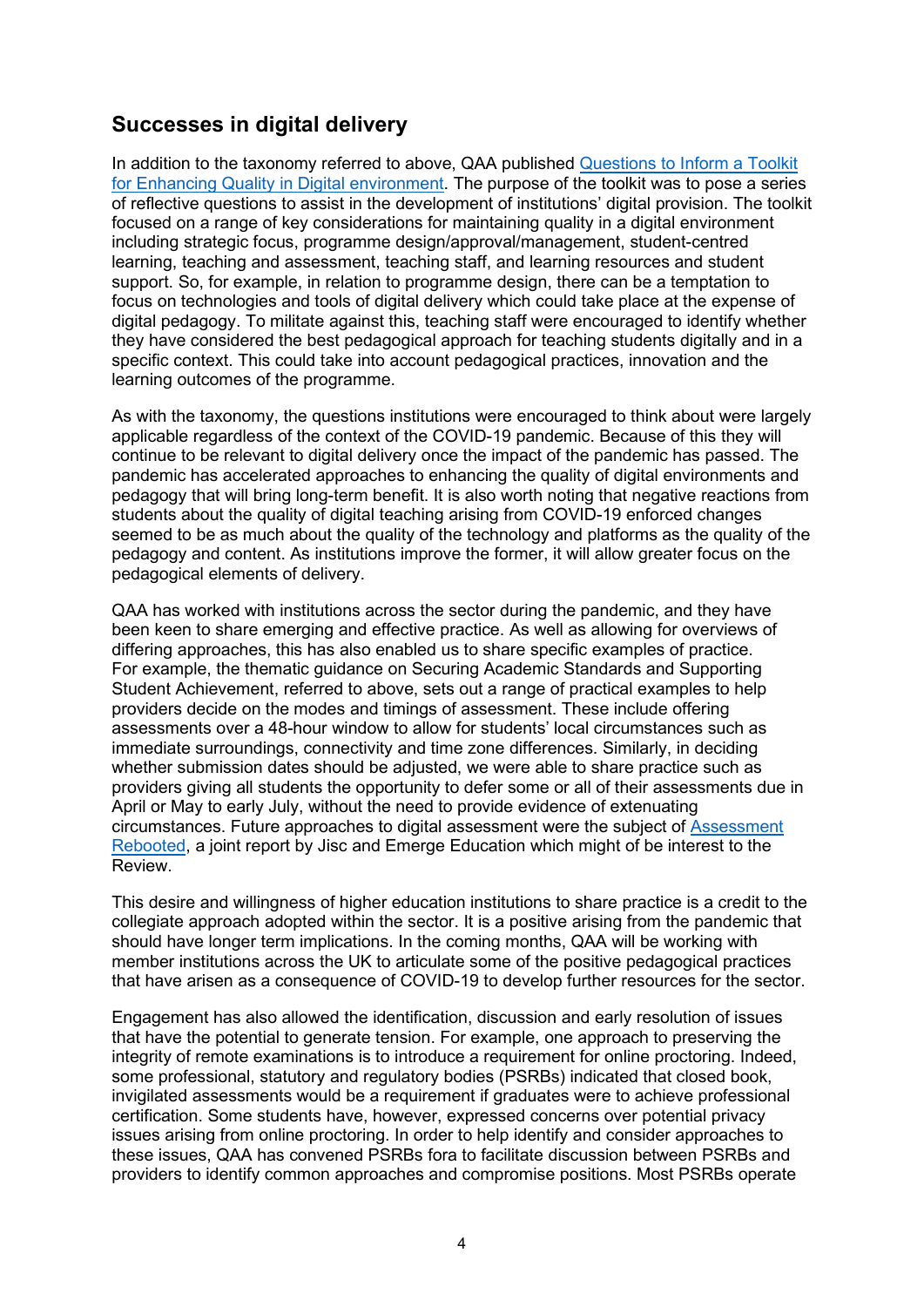## **Successes in digital delivery**

In addition to the taxonomy referred to above, QAA published [Questions to Inform a Toolkit](https://www.qaa.ac.uk/docs/qaa/guidance/questions-to-inform-a-toolkit-for-enhancing-quality-in-a-digital-environment.pdf)  for [Enhancing Quality in Digital environment.](https://www.qaa.ac.uk/docs/qaa/guidance/questions-to-inform-a-toolkit-for-enhancing-quality-in-a-digital-environment.pdf) The purpose of the toolkit was to pose a series of reflective questions to assist in the development of institutions' digital provision. The toolkit focused on a range of key considerations for maintaining quality in a digital environment including strategic focus, programme design/approval/management, student-centred learning, teaching and assessment, teaching staff, and learning resources and student support. So, for example, in relation to programme design, there can be a temptation to focus on technologies and tools of digital delivery which could take place at the expense of digital pedagogy. To militate against this, teaching staff were encouraged to identify whether they have considered the best pedagogical approach for teaching students digitally and in a specific context. This could take into account pedagogical practices, innovation and the learning outcomes of the programme.

As with the taxonomy, the questions institutions were encouraged to think about were largely applicable regardless of the context of the COVID-19 pandemic. Because of this they will continue to be relevant to digital delivery once the impact of the pandemic has passed. The pandemic has accelerated approaches to enhancing the quality of digital environments and pedagogy that will bring long-term benefit. It is also worth noting that negative reactions from students about the quality of digital teaching arising from COVID-19 enforced changes seemed to be as much about the quality of the technology and platforms as the quality of the pedagogy and content. As institutions improve the former, it will allow greater focus on the pedagogical elements of delivery.

QAA has worked with institutions across the sector during the pandemic, and they have been keen to share emerging and effective practice. As well as allowing for overviews of differing approaches, this has also enabled us to share specific examples of practice. For example, the thematic guidance on Securing Academic Standards and Supporting Student Achievement, referred to above, sets out a range of practical examples to help providers decide on the modes and timings of assessment. These include offering assessments over a 48-hour window to allow for students' local circumstances such as immediate surroundings, connectivity and time zone differences. Similarly, in deciding whether submission dates should be adjusted, we were able to share practice such as providers giving all students the opportunity to defer some or all of their assessments due in April or May to early July, without the need to provide evidence of extenuating circumstances. Future approaches to digital assessment were the subject of [Assessment](https://repository.jisc.ac.uk/7854/1/assessment-rebooted-report.pdf)  [Rebooted,](https://repository.jisc.ac.uk/7854/1/assessment-rebooted-report.pdf) a joint report by Jisc and Emerge Education which might of be interest to the Review.

This desire and willingness of higher education institutions to share practice is a credit to the collegiate approach adopted within the sector. It is a positive arising from the pandemic that should have longer term implications. In the coming months, QAA will be working with member institutions across the UK to articulate some of the positive pedagogical practices that have arisen as a consequence of COVID-19 to develop further resources for the sector.

Engagement has also allowed the identification, discussion and early resolution of issues that have the potential to generate tension. For example, one approach to preserving the integrity of remote examinations is to introduce a requirement for online proctoring. Indeed, some professional, statutory and regulatory bodies (PSRBs) indicated that closed book, invigilated assessments would be a requirement if graduates were to achieve professional certification. Some students have, however, expressed concerns over potential privacy issues arising from online proctoring. In order to help identify and consider approaches to these issues, QAA has convened PSRBs fora to facilitate discussion between PSRBs and providers to identify common approaches and compromise positions. Most PSRBs operate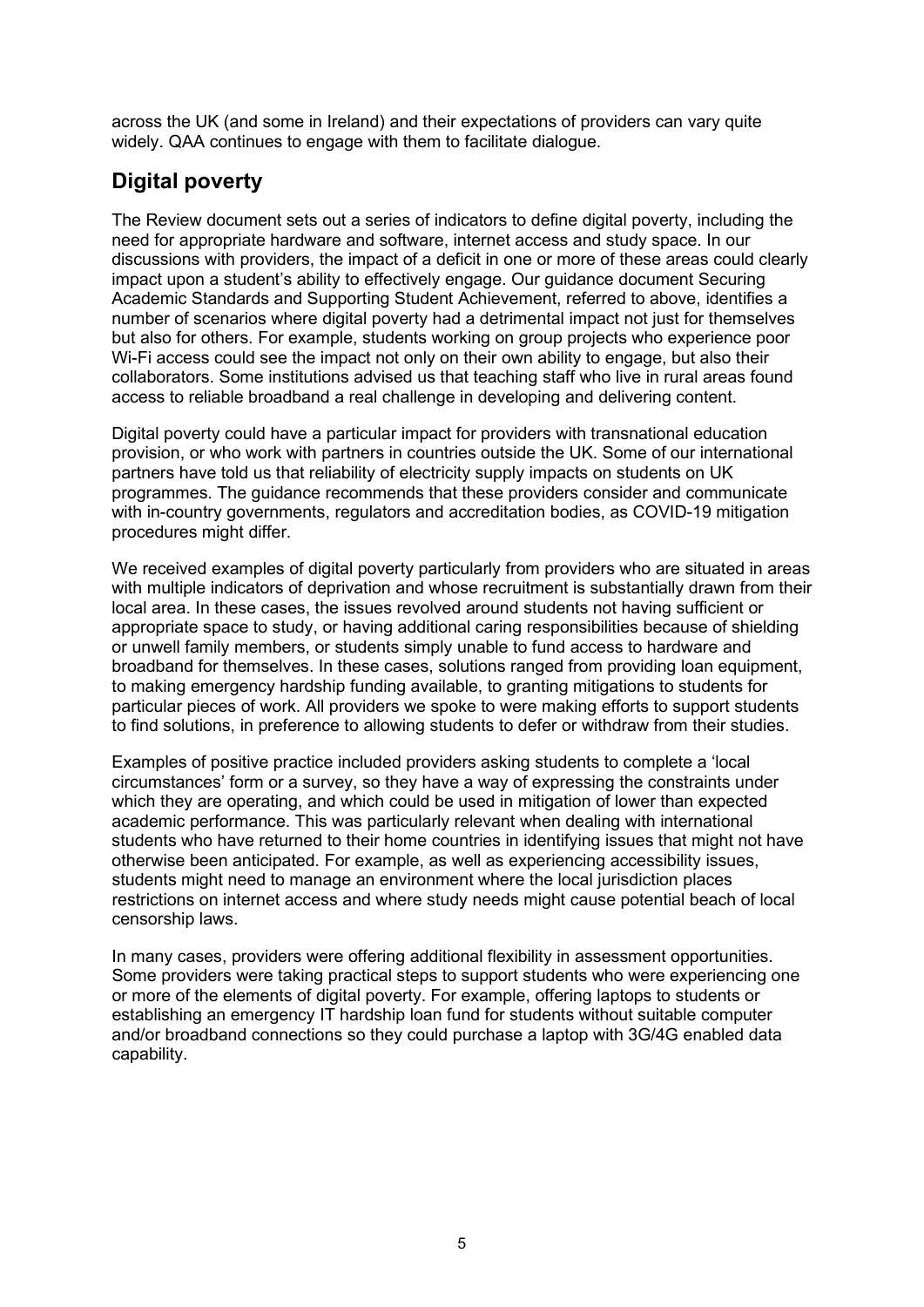across the UK (and some in Ireland) and their expectations of providers can vary quite widely. QAA continues to engage with them to facilitate dialogue.

## **Digital poverty**

The Review document sets out a series of indicators to define digital poverty, including the need for appropriate hardware and software, internet access and study space. In our discussions with providers, the impact of a deficit in one or more of these areas could clearly impact upon a student's ability to effectively engage. Our guidance document Securing Academic Standards and Supporting Student Achievement, referred to above, identifies a number of scenarios where digital poverty had a detrimental impact not just for themselves but also for others. For example, students working on group projects who experience poor Wi-Fi access could see the impact not only on their own ability to engage, but also their collaborators. Some institutions advised us that teaching staff who live in rural areas found access to reliable broadband a real challenge in developing and delivering content.

Digital poverty could have a particular impact for providers with transnational education provision, or who work with partners in countries outside the UK. Some of our international partners have told us that reliability of electricity supply impacts on students on UK programmes. The guidance recommends that these providers consider and communicate with in-country governments, regulators and accreditation bodies, as COVID-19 mitigation procedures might differ.

We received examples of digital poverty particularly from providers who are situated in areas with multiple indicators of deprivation and whose recruitment is substantially drawn from their local area. In these cases, the issues revolved around students not having sufficient or appropriate space to study, or having additional caring responsibilities because of shielding or unwell family members, or students simply unable to fund access to hardware and broadband for themselves. In these cases, solutions ranged from providing loan equipment, to making emergency hardship funding available, to granting mitigations to students for particular pieces of work. All providers we spoke to were making efforts to support students to find solutions, in preference to allowing students to defer or withdraw from their studies.

Examples of positive practice included providers asking students to complete a 'local circumstances' form or a survey, so they have a way of expressing the constraints under which they are operating, and which could be used in mitigation of lower than expected academic performance. This was particularly relevant when dealing with international students who have returned to their home countries in identifying issues that might not have otherwise been anticipated. For example, as well as experiencing accessibility issues, students might need to manage an environment where the local jurisdiction places restrictions on internet access and where study needs might cause potential beach of local censorship laws.

In many cases, providers were offering additional flexibility in assessment opportunities. Some providers were taking practical steps to support students who were experiencing one or more of the elements of digital poverty. For example, offering laptops to students or establishing an emergency IT hardship loan fund for students without suitable computer and/or broadband connections so they could purchase a laptop with 3G/4G enabled data capability.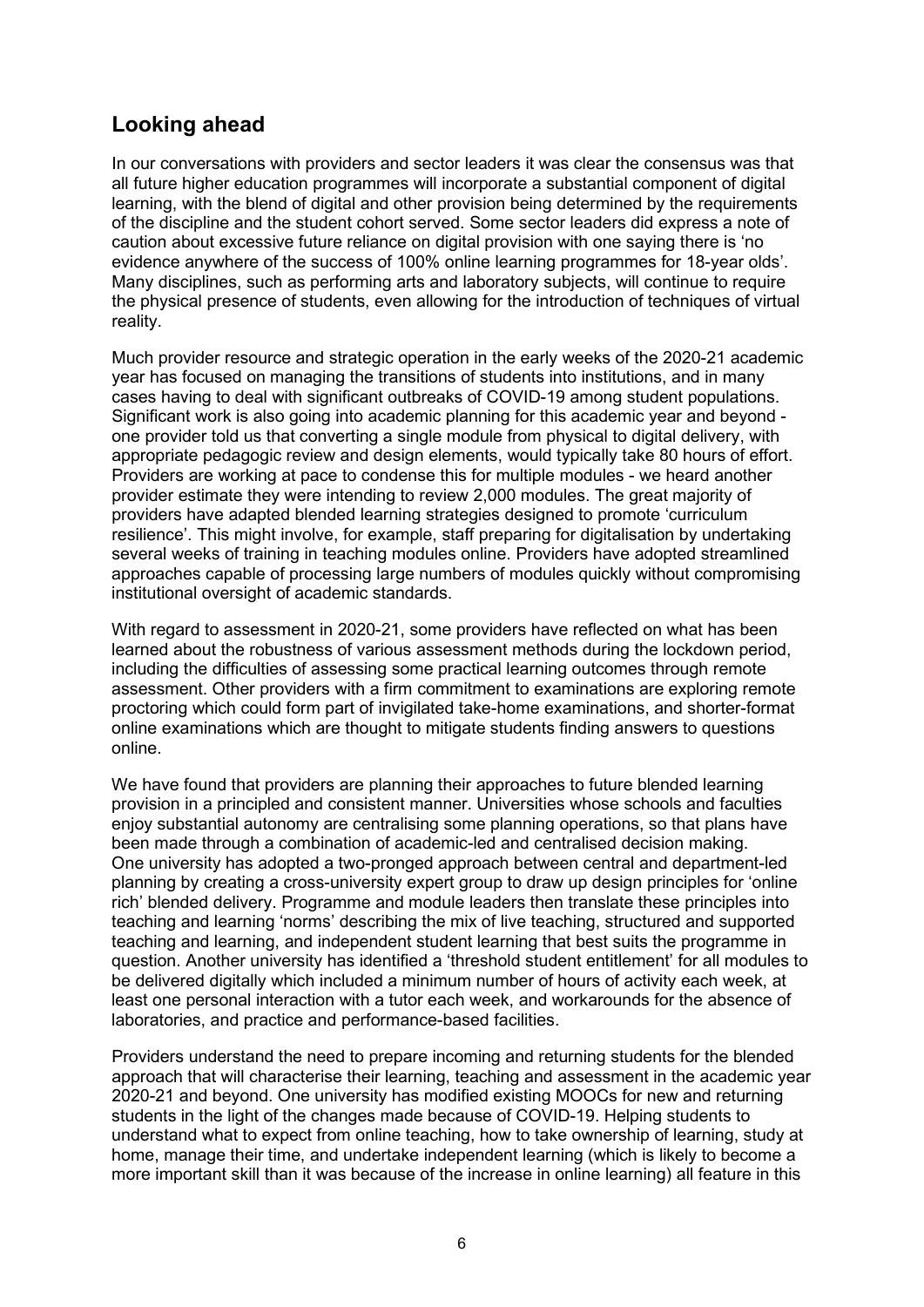## **Looking ahead**

In our conversations with providers and sector leaders it was clear the consensus was that all future higher education programmes will incorporate a substantial component of digital learning, with the blend of digital and other provision being determined by the requirements of the discipline and the student cohort served. Some sector leaders did express a note of caution about excessive future reliance on digital provision with one saying there is 'no evidence anywhere of the success of 100% online learning programmes for 18-year olds'. Many disciplines, such as performing arts and laboratory subjects, will continue to require the physical presence of students, even allowing for the introduction of techniques of virtual reality.

Much provider resource and strategic operation in the early weeks of the 2020-21 academic year has focused on managing the transitions of students into institutions, and in many cases having to deal with significant outbreaks of COVID-19 among student populations. Significant work is also going into academic planning for this academic year and beyond one provider told us that converting a single module from physical to digital delivery, with appropriate pedagogic review and design elements, would typically take 80 hours of effort. Providers are working at pace to condense this for multiple modules - we heard another provider estimate they were intending to review 2,000 modules. The great majority of providers have adapted blended learning strategies designed to promote 'curriculum resilience'. This might involve, for example, staff preparing for digitalisation by undertaking several weeks of training in teaching modules online. Providers have adopted streamlined approaches capable of processing large numbers of modules quickly without compromising institutional oversight of academic standards.

With regard to assessment in 2020-21, some providers have reflected on what has been learned about the robustness of various assessment methods during the lockdown period, including the difficulties of assessing some practical learning outcomes through remote assessment. Other providers with a firm commitment to examinations are exploring remote proctoring which could form part of invigilated take-home examinations, and shorter-format online examinations which are thought to mitigate students finding answers to questions online.

We have found that providers are planning their approaches to future blended learning provision in a principled and consistent manner. Universities whose schools and faculties enjoy substantial autonomy are centralising some planning operations, so that plans have been made through a combination of academic-led and centralised decision making. One university has adopted a two-pronged approach between central and department-led planning by creating a cross-university expert group to draw up design principles for 'online rich' blended delivery. Programme and module leaders then translate these principles into teaching and learning 'norms' describing the mix of live teaching, structured and supported teaching and learning, and independent student learning that best suits the programme in question. Another university has identified a 'threshold student entitlement' for all modules to be delivered digitally which included a minimum number of hours of activity each week, at least one personal interaction with a tutor each week, and workarounds for the absence of laboratories, and practice and performance-based facilities.

Providers understand the need to prepare incoming and returning students for the blended approach that will characterise their learning, teaching and assessment in the academic year 2020-21 and beyond. One university has modified existing MOOCs for new and returning students in the light of the changes made because of COVID-19. Helping students to understand what to expect from online teaching, how to take ownership of learning, study at home, manage their time, and undertake independent learning (which is likely to become a more important skill than it was because of the increase in online learning) all feature in this